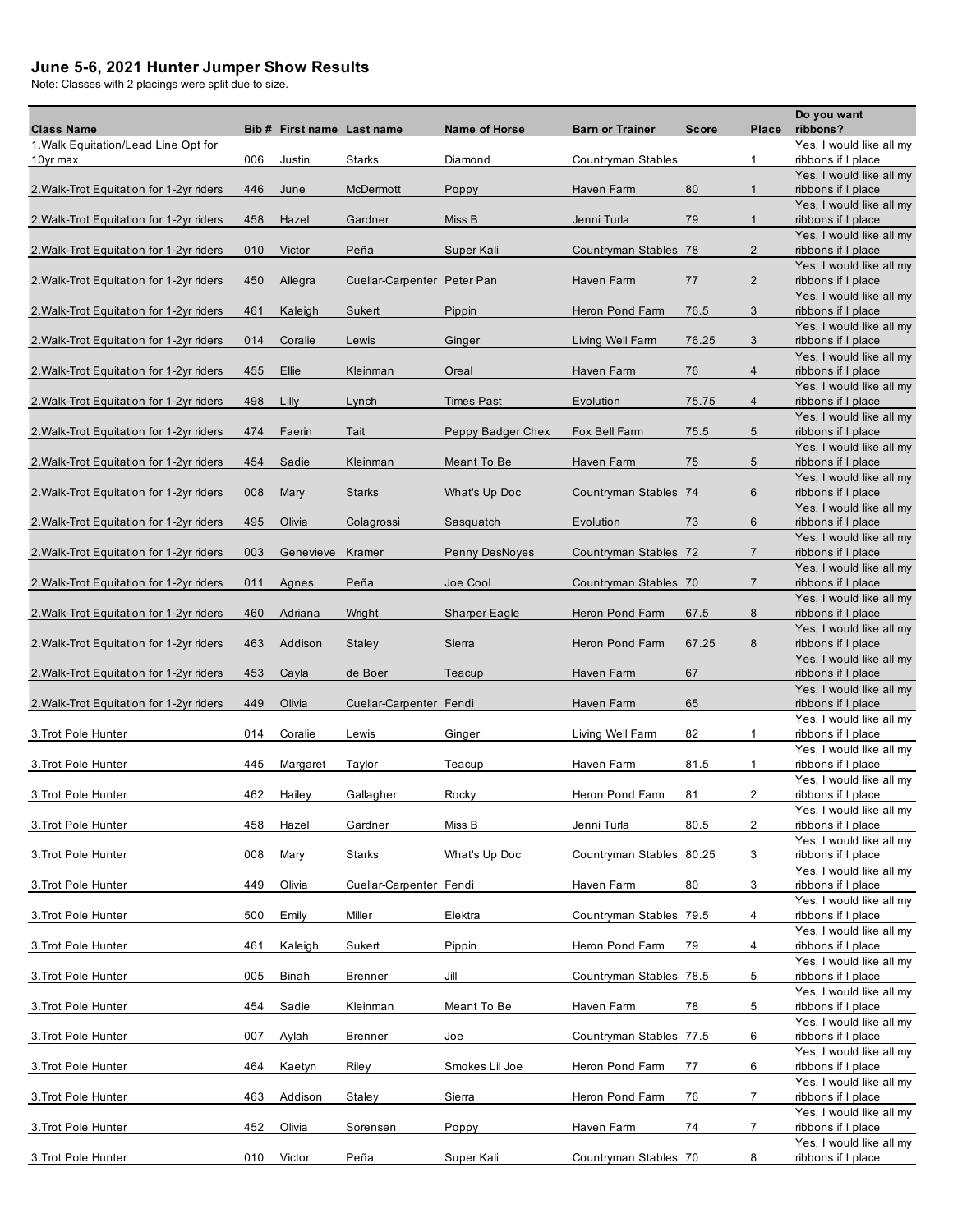## **June 5-6, 2021 Hunter Jumper Show Results**

Note: Classes with 2 placings were split due to size.

| <b>Class Name</b>                                |     | Bib # First name Last name |                             | <b>Name of Horse</b> | <b>Barn or Trainer</b>   | <b>Score</b> | Place          | Do you want<br>ribbons?                        |
|--------------------------------------------------|-----|----------------------------|-----------------------------|----------------------|--------------------------|--------------|----------------|------------------------------------------------|
| 1. Walk Equitation/Lead Line Opt for<br>10yr max | 006 | Justin                     | <b>Starks</b>               | Diamond              | Countryman Stables       |              | $\mathbf{1}$   | Yes, I would like all my<br>ribbons if I place |
|                                                  |     |                            |                             |                      |                          |              |                | Yes, I would like all my                       |
| 2. Walk-Trot Equitation for 1-2yr riders         | 446 | June                       | McDermott                   | Poppy                | Haven Farm               | 80           | $\mathbf{1}$   | ribbons if I place                             |
| 2. Walk-Trot Equitation for 1-2yr riders         | 458 | Hazel                      | Gardner                     | Miss B               | Jenni Turla              | 79           | $\mathbf{1}$   | Yes, I would like all my<br>ribbons if I place |
| 2. Walk-Trot Equitation for 1-2yr riders         | 010 | Victor                     | Peña                        | Super Kali           | Countryman Stables 78    |              | $\overline{2}$ | Yes, I would like all my<br>ribbons if I place |
| 2. Walk-Trot Equitation for 1-2yr riders         | 450 | Allegra                    | Cuellar-Carpenter Peter Pan |                      | Haven Farm               | 77           | $\overline{2}$ | Yes, I would like all my<br>ribbons if I place |
| 2. Walk-Trot Equitation for 1-2yr riders         | 461 | Kaleigh                    | Sukert                      | Pippin               | Heron Pond Farm          | 76.5         | 3              | Yes, I would like all my<br>ribbons if I place |
| 2. Walk-Trot Equitation for 1-2yr riders         | 014 | Coralie                    | Lewis                       | Ginger               | Living Well Farm         | 76.25        | 3              | Yes, I would like all my<br>ribbons if I place |
| 2. Walk-Trot Equitation for 1-2yr riders         | 455 | Ellie                      | Kleinman                    | Oreal                | Haven Farm               | 76           | $\overline{4}$ | Yes, I would like all my<br>ribbons if I place |
| 2. Walk-Trot Equitation for 1-2yr riders         | 498 | Lilly                      | Lynch                       | <b>Times Past</b>    | Evolution                | 75.75        | $\overline{4}$ | Yes, I would like all my<br>ribbons if I place |
|                                                  |     |                            |                             |                      |                          |              |                | Yes, I would like all my                       |
| 2. Walk-Trot Equitation for 1-2yr riders         | 474 | Faerin                     | Tait                        | Peppy Badger Chex    | Fox Bell Farm            | 75.5         | 5              | ribbons if I place<br>Yes, I would like all my |
| 2. Walk-Trot Equitation for 1-2yr riders         | 454 | Sadie                      | Kleinman                    | Meant To Be          | Haven Farm               | 75           | 5              | ribbons if I place                             |
|                                                  |     |                            |                             |                      |                          |              |                | Yes, I would like all my                       |
| 2. Walk-Trot Equitation for 1-2yr riders         | 008 | Mary                       | <b>Starks</b>               | What's Up Doc        | Countryman Stables 74    |              | 6              | ribbons if I place                             |
| 2. Walk-Trot Equitation for 1-2yr riders         | 495 | Olivia                     | Colagrossi                  | Sasquatch            | Evolution                | 73           | 6              | Yes, I would like all my<br>ribbons if I place |
|                                                  |     |                            |                             |                      |                          |              |                | Yes, I would like all my                       |
| 2. Walk-Trot Equitation for 1-2yr riders         | 003 | Genevieve                  | Kramer                      | Penny DesNoyes       | Countryman Stables 72    |              | $\overline{7}$ | ribbons if I place<br>Yes, I would like all my |
| 2. Walk-Trot Equitation for 1-2yr riders         | 011 | Agnes                      | Peña                        | Joe Cool             | Countryman Stables 70    |              | $\overline{7}$ | ribbons if I place                             |
|                                                  |     |                            |                             |                      |                          |              |                | Yes, I would like all my                       |
| 2. Walk-Trot Equitation for 1-2yr riders         | 460 | Adriana                    | Wright                      | <b>Sharper Eagle</b> | Heron Pond Farm          | 67.5         | 8              | ribbons if I place<br>Yes, I would like all my |
| 2. Walk-Trot Equitation for 1-2yr riders         | 463 | Addison                    | <b>Staley</b>               | Sierra               | Heron Pond Farm          | 67.25        | 8              | ribbons if I place                             |
| 2. Walk-Trot Equitation for 1-2yr riders         | 453 | Cayla                      | de Boer                     | Teacup               | Haven Farm               | 67           |                | Yes, I would like all my<br>ribbons if I place |
|                                                  |     |                            |                             |                      |                          |              |                | Yes, I would like all my                       |
| 2. Walk-Trot Equitation for 1-2yr riders         | 449 | Olivia                     | Cuellar-Carpenter Fendi     |                      | Haven Farm               | 65           |                | ribbons if I place<br>Yes, I would like all my |
| 3. Trot Pole Hunter                              | 014 | Coralie                    | Lewis                       | Ginger               | Living Well Farm         | 82           | 1              | ribbons if I place                             |
|                                                  |     |                            |                             |                      |                          |              |                | Yes, I would like all my                       |
| 3. Trot Pole Hunter                              | 445 | Margaret                   | Taylor                      | Teacup               | Haven Farm               | 81.5         | $\mathbf{1}$   | ribbons if I place<br>Yes, I would like all my |
| 3. Trot Pole Hunter                              | 462 | Hailey                     | Gallagher                   | Rocky                | Heron Pond Farm          | 81           | $\overline{c}$ | ribbons if I place                             |
|                                                  |     |                            |                             |                      |                          |              |                | Yes, I would like all my                       |
| 3. Trot Pole Hunter                              | 458 | Hazel                      | Gardner                     | Miss B               | Jenni Turla              | 80.5         | 2              | ribbons if I place<br>Yes, I would like all my |
| 3. Trot Pole Hunter                              | 008 | Mary                       | Starks                      | What's Up Doc        | Countryman Stables 80.25 |              | 3              | ribbons if I place                             |
| 3. Trot Pole Hunter                              | 449 | Olivia                     | Cuellar-Carpenter Fendi     |                      | Haven Farm               | 80           | 3              | Yes, I would like all my<br>ribbons if I place |
| 3. Trot Pole Hunter                              | 500 | Emily                      | Miller                      | Elektra              | Countryman Stables 79.5  |              | 4              | Yes, I would like all my<br>ribbons if I place |
|                                                  |     |                            |                             |                      |                          |              |                | Yes, I would like all my                       |
| 3. Trot Pole Hunter                              | 461 | Kaleigh                    | Sukert                      | Pippin               | Heron Pond Farm          | 79           | 4              | ribbons if I place                             |
| 3. Trot Pole Hunter                              | 005 | <b>Binah</b>               | <b>Brenner</b>              | Jill                 | Countryman Stables 78.5  |              | 5              | Yes. I would like all my<br>ribbons if I place |
| 3. Trot Pole Hunter                              | 454 | Sadie                      | Kleinman                    | Meant To Be          | Haven Farm               | 78           | 5              | Yes, I would like all my<br>ribbons if I place |
| 3. Trot Pole Hunter                              | 007 | Aylah                      | <b>Brenner</b>              | Joe                  | Countryman Stables 77.5  |              | 6              | Yes, I would like all my<br>ribbons if I place |
|                                                  |     |                            |                             |                      |                          |              |                | Yes, I would like all my                       |
| 3. Trot Pole Hunter                              | 464 | Kaetyn                     | Riley                       | Smokes Lil Joe       | Heron Pond Farm          | 77           | 6              | ribbons if I place<br>Yes, I would like all my |
| 3. Trot Pole Hunter                              | 463 | Addison                    | Staley                      | Sierra               | Heron Pond Farm          | 76           | 7              | ribbons if I place                             |
| 3. Trot Pole Hunter                              | 452 | Olivia                     | Sorensen                    | Poppy                | Haven Farm               | 74           | 7              | Yes, I would like all my<br>ribbons if I place |
| 3. Trot Pole Hunter                              | 010 | Victor                     | Peña                        | Super Kali           | Countryman Stables 70    |              | 8              | Yes, I would like all my<br>ribbons if I place |
|                                                  |     |                            |                             |                      |                          |              |                |                                                |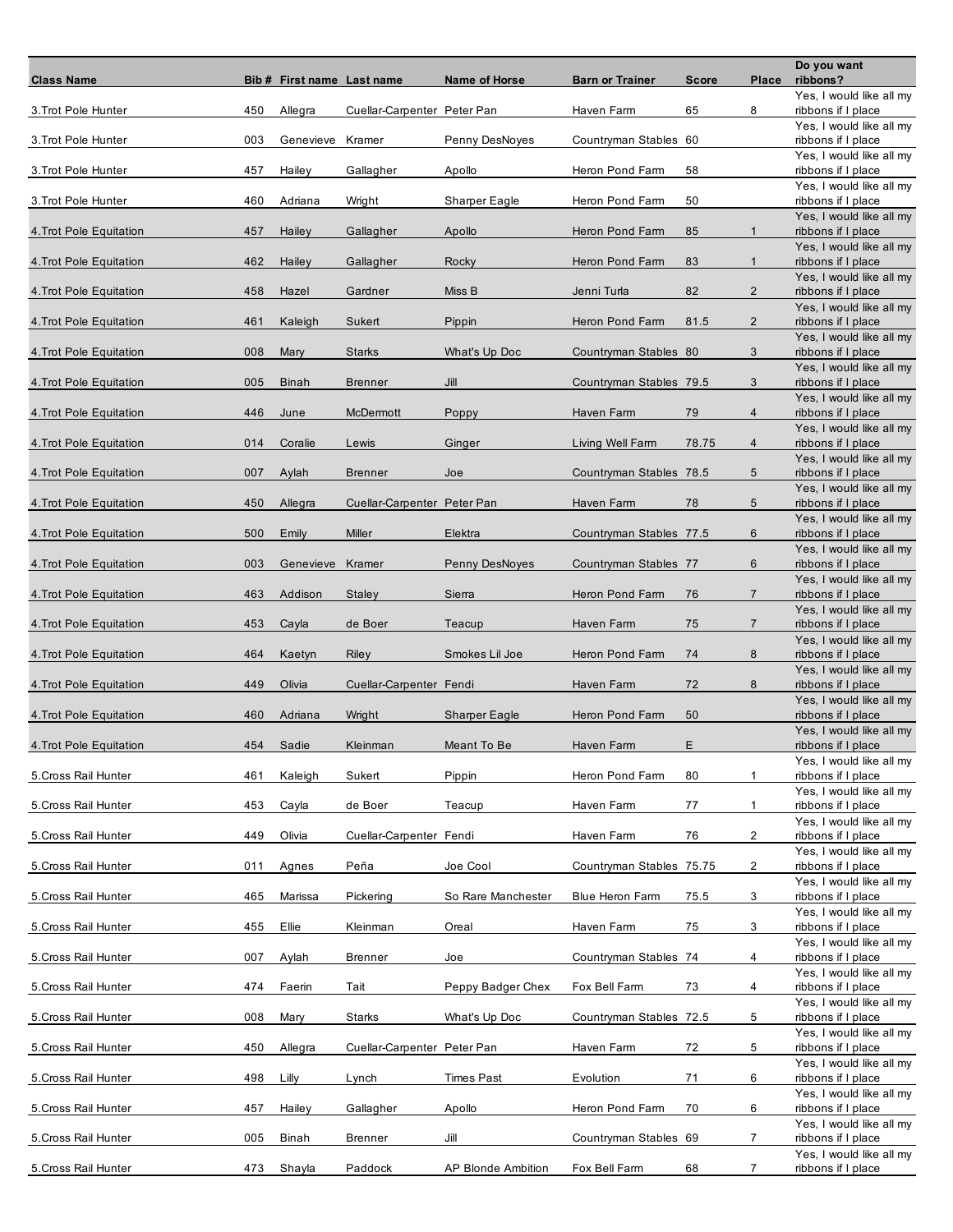| <b>Class Name</b>       |     | Bib # First name Last name |                             | Name of Horse             | <b>Barn or Trainer</b>   | <b>Score</b> | Place          | Do you want<br>ribbons?                        |
|-------------------------|-----|----------------------------|-----------------------------|---------------------------|--------------------------|--------------|----------------|------------------------------------------------|
| 3. Trot Pole Hunter     | 450 | Allegra                    | Cuellar-Carpenter Peter Pan |                           | Haven Farm               | 65           | 8              | Yes, I would like all my<br>ribbons if I place |
|                         |     |                            |                             |                           |                          |              |                | Yes, I would like all my                       |
| 3. Trot Pole Hunter     | 003 | Genevieve                  | Kramer                      | Penny DesNoyes            | Countryman Stables 60    |              |                | ribbons if I place<br>Yes, I would like all my |
| 3. Trot Pole Hunter     | 457 | Hailey                     | Gallagher                   | Apollo                    | Heron Pond Farm          | 58           |                | ribbons if I place<br>Yes, I would like all my |
| 3. Trot Pole Hunter     | 460 | Adriana                    | Wright                      | Sharper Eagle             | Heron Pond Farm          | 50           |                | ribbons if I place                             |
| 4. Trot Pole Equitation | 457 | Hailey                     | Gallagher                   | Apollo                    | Heron Pond Farm          | 85           | $\mathbf{1}$   | Yes, I would like all my<br>ribbons if I place |
|                         |     |                            |                             |                           |                          |              |                | Yes, I would like all my                       |
| 4. Trot Pole Equitation | 462 | Hailey                     | Gallagher                   | Rocky                     | Heron Pond Farm          | 83           | $\mathbf{1}$   | ribbons if I place<br>Yes, I would like all my |
| 4. Trot Pole Equitation | 458 | Hazel                      | Gardner                     | Miss B                    | Jenni Turla              | 82           | $\overline{2}$ | ribbons if I place                             |
| 4. Trot Pole Equitation | 461 | Kaleigh                    | Sukert                      | Pippin                    | Heron Pond Farm          | 81.5         | $\overline{2}$ | Yes, I would like all my<br>ribbons if I place |
| 4. Trot Pole Equitation | 008 | Mary                       | <b>Starks</b>               | What's Up Doc             | Countryman Stables 80    |              | 3              | Yes, I would like all my<br>ribbons if I place |
|                         |     |                            |                             |                           |                          |              |                | Yes, I would like all my                       |
| 4. Trot Pole Equitation | 005 | <b>Binah</b>               | <b>Brenner</b>              | Jill                      | Countryman Stables 79.5  |              | 3              | ribbons if I place<br>Yes, I would like all my |
| 4. Trot Pole Equitation | 446 | June                       | McDermott                   | Poppy                     | Haven Farm               | 79           | $\overline{4}$ | ribbons if I place<br>Yes, I would like all my |
| 4. Trot Pole Equitation | 014 | Coralie                    | Lewis                       | Ginger                    | Living Well Farm         | 78.75        | $\overline{4}$ | ribbons if I place                             |
| 4. Trot Pole Equitation | 007 | Aylah                      | <b>Brenner</b>              | Joe                       | Countryman Stables 78.5  |              | 5              | Yes, I would like all my<br>ribbons if I place |
|                         |     |                            |                             |                           |                          |              |                | Yes, I would like all my                       |
| 4. Trot Pole Equitation | 450 | Allegra                    | Cuellar-Carpenter Peter Pan |                           | Haven Farm               | 78           | 5              | ribbons if I place<br>Yes, I would like all my |
| 4. Trot Pole Equitation | 500 | Emily                      | Miller                      | Elektra                   | Countryman Stables 77.5  |              | 6              | ribbons if I place                             |
| 4. Trot Pole Equitation | 003 | Genevieve                  | Kramer                      | Penny DesNoyes            | Countryman Stables 77    |              | 6              | Yes, I would like all my<br>ribbons if I place |
| 4. Trot Pole Equitation | 463 | Addison                    | <b>Staley</b>               | Sierra                    | Heron Pond Farm          | 76           | $\overline{7}$ | Yes, I would like all my<br>ribbons if I place |
|                         |     |                            |                             |                           |                          |              |                | Yes, I would like all my                       |
| 4. Trot Pole Equitation | 453 | Cayla                      | de Boer                     | Teacup                    | Haven Farm               | 75           | $\overline{7}$ | ribbons if I place<br>Yes, I would like all my |
| 4. Trot Pole Equitation | 464 | Kaetyn                     | Riley                       | Smokes Lil Joe            | Heron Pond Farm          | 74           | 8              | ribbons if I place<br>Yes, I would like all my |
| 4. Trot Pole Equitation | 449 | Olivia                     | Cuellar-Carpenter Fendi     |                           | Haven Farm               | 72           | 8              | ribbons if I place                             |
| 4. Trot Pole Equitation | 460 | Adriana                    | Wright                      | <b>Sharper Eagle</b>      | Heron Pond Farm          | 50           |                | Yes, I would like all my<br>ribbons if I place |
|                         | 454 | Sadie                      | Kleinman                    | Meant To Be               | Haven Farm               | Ε            |                | Yes, I would like all my                       |
| 4. Trot Pole Equitation |     |                            |                             |                           |                          |              |                | ribbons if I place<br>Yes, I would like all my |
| 5. Cross Rail Hunter    | 461 | Kaleigh                    | Sukert                      | Pippin                    | Heron Pond Farm          | 80           | 1              | ribbons if I place<br>Yes, I would like all my |
| 5. Cross Rail Hunter    | 453 | Cayla                      | de Boer                     | Teacup                    | Haven Farm               | 77           | $\mathbf{1}$   | ribbons if I place                             |
| 5. Cross Rail Hunter    | 449 | Olivia                     | Cuellar-Carpenter Fendi     |                           | Haven Farm               | 76           | $\overline{2}$ | Yes, I would like all my<br>ribbons if I place |
| 5. Cross Rail Hunter    | 011 | Agnes                      | Peña                        | Joe Cool                  | Countryman Stables 75.75 |              | 2              | Yes, I would like all my<br>ribbons if I place |
|                         |     |                            |                             |                           |                          |              |                | Yes, I would like all my                       |
| 5. Cross Rail Hunter    | 465 | Marissa                    | Pickering                   | So Rare Manchester        | <b>Blue Heron Farm</b>   | 75.5         | 3              | ribbons if I place<br>Yes, I would like all my |
| 5. Cross Rail Hunter    | 455 | Ellie                      | Kleinman                    | Oreal                     | Haven Farm               | 75           | 3              | ribbons if I place                             |
| 5. Cross Rail Hunter    | 007 | Aylah                      | <b>Brenner</b>              | Joe                       | Countryman Stables 74    |              | 4              | Yes, I would like all my<br>ribbons if I place |
| 5. Cross Rail Hunter    | 474 | Faerin                     | Tait                        | Peppy Badger Chex         | Fox Bell Farm            | 73           | 4              | Yes, I would like all my<br>ribbons if I place |
|                         |     |                            |                             |                           |                          |              |                | Yes, I would like all my                       |
| 5. Cross Rail Hunter    | 008 | Mary                       | Starks                      | What's Up Doc             | Countryman Stables 72.5  |              | 5              | ribbons if I place<br>Yes, I would like all my |
| 5. Cross Rail Hunter    | 450 | Allegra                    | Cuellar-Carpenter Peter Pan |                           | Haven Farm               | 72           | 5              | ribbons if I place<br>Yes, I would like all my |
| 5. Cross Rail Hunter    | 498 | Lilly                      | Lynch                       | <b>Times Past</b>         | Evolution                | 71           | 6              | ribbons if I place                             |
| 5. Cross Rail Hunter    | 457 | Hailey                     | Gallagher                   | Apollo                    | Heron Pond Farm          | 70           | 6              | Yes, I would like all my<br>ribbons if I place |
| 5. Cross Rail Hunter    | 005 | <b>Binah</b>               | <b>Brenner</b>              | Jill                      | Countryman Stables 69    |              | $\overline{7}$ | Yes, I would like all my<br>ribbons if I place |
|                         |     |                            |                             |                           |                          |              |                | Yes, I would like all my                       |
| 5. Cross Rail Hunter    | 473 | Shayla                     | Paddock                     | <b>AP Blonde Ambition</b> | Fox Bell Farm            | 68           | $\overline{7}$ | ribbons if I place                             |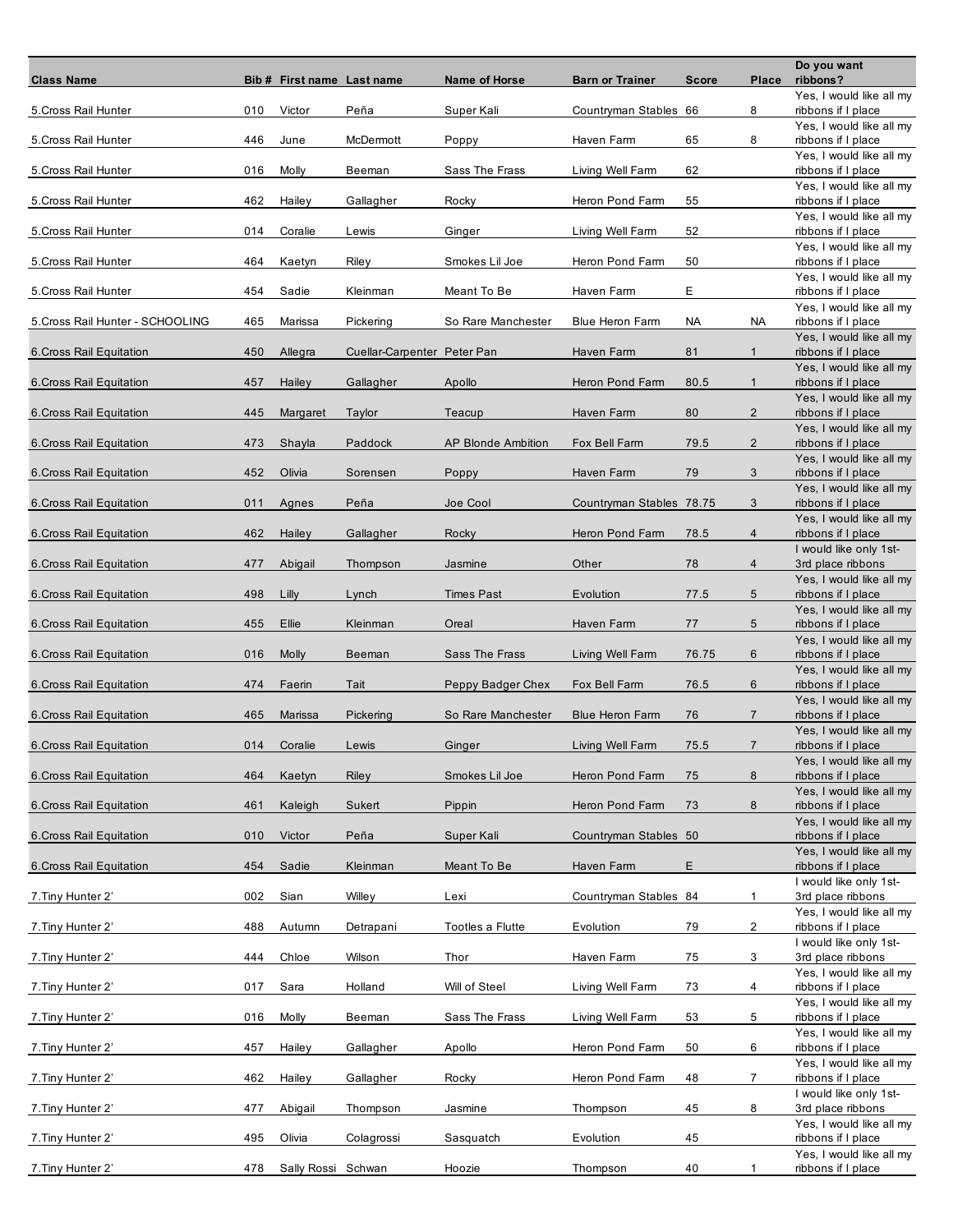| <b>Class Name</b>                |     | Bib # First name Last name |                             | Name of Horse             | <b>Barn or Trainer</b>   | <b>Score</b> | Place          | Do you want<br>ribbons?                        |
|----------------------------------|-----|----------------------------|-----------------------------|---------------------------|--------------------------|--------------|----------------|------------------------------------------------|
| 5. Cross Rail Hunter             | 010 | Victor                     | Peña                        | Super Kali                | Countryman Stables 66    |              | 8              | Yes, I would like all my<br>ribbons if I place |
|                                  |     |                            |                             |                           |                          |              |                | Yes, I would like all my                       |
| 5. Cross Rail Hunter             | 446 | June                       | McDermott                   | Poppy                     | Haven Farm               | 65           | 8              | ribbons if I place<br>Yes, I would like all my |
| 5. Cross Rail Hunter             | 016 | Molly                      | Beeman                      | Sass The Frass            | Living Well Farm         | 62           |                | ribbons if I place<br>Yes, I would like all my |
| 5. Cross Rail Hunter             | 462 | Hailey                     | Gallagher                   | Rocky                     | Heron Pond Farm          | 55           |                | ribbons if I place                             |
| 5. Cross Rail Hunter             | 014 | Coralie                    | Lewis                       | Ginger                    | Living Well Farm         | 52           |                | Yes, I would like all my<br>ribbons if I place |
|                                  |     |                            |                             |                           |                          |              |                | Yes, I would like all my                       |
| 5. Cross Rail Hunter             | 464 | Kaetyn                     | Riley                       | Smokes Lil Joe            | Heron Pond Farm          | 50           |                | ribbons if I place<br>Yes, I would like all my |
| 5. Cross Rail Hunter             | 454 | Sadie                      | Kleinman                    | Meant To Be               | Haven Farm               | Е            |                | ribbons if I place                             |
| 5. Cross Rail Hunter - SCHOOLING | 465 | Marissa                    | Pickering                   | So Rare Manchester        | <b>Blue Heron Farm</b>   | NA           | NA             | Yes, I would like all my<br>ribbons if I place |
| 6. Cross Rail Equitation         | 450 | Allegra                    | Cuellar-Carpenter Peter Pan |                           | Haven Farm               | 81           | $\mathbf{1}$   | Yes, I would like all my<br>ribbons if I place |
|                                  |     |                            |                             |                           |                          |              |                | Yes, I would like all my                       |
| 6. Cross Rail Equitation         | 457 | Hailey                     | Gallagher                   | Apollo                    | Heron Pond Farm          | 80.5         | $\mathbf{1}$   | ribbons if I place<br>Yes, I would like all my |
| 6. Cross Rail Equitation         | 445 | Margaret                   | Taylor                      | Teacup                    | Haven Farm               | 80           | $\overline{2}$ | ribbons if I place                             |
| 6. Cross Rail Equitation         | 473 | Shayla                     | Paddock                     | <b>AP Blonde Ambition</b> | Fox Bell Farm            | 79.5         | $\overline{2}$ | Yes, I would like all my<br>ribbons if I place |
| 6. Cross Rail Equitation         | 452 | Olivia                     | Sorensen                    | Poppy                     | Haven Farm               | 79           | 3              | Yes, I would like all my<br>ribbons if I place |
|                                  |     |                            |                             |                           |                          |              |                | Yes, I would like all my                       |
| 6. Cross Rail Equitation         | 011 | Agnes                      | Peña                        | Joe Cool                  | Countryman Stables 78.75 |              | 3              | ribbons if I place<br>Yes, I would like all my |
| 6. Cross Rail Equitation         | 462 | Hailey                     | Gallagher                   | Rocky                     | Heron Pond Farm          | 78.5         | $\overline{4}$ | ribbons if I place                             |
| 6. Cross Rail Equitation         | 477 | Abigail                    | Thompson                    | Jasmine                   | Other                    | 78           | $\overline{4}$ | I would like only 1st-<br>3rd place ribbons    |
| 6. Cross Rail Equitation         | 498 | Lilly                      | Lynch                       | <b>Times Past</b>         | Evolution                | 77.5         | 5              | Yes, I would like all my<br>ribbons if I place |
|                                  |     |                            |                             |                           |                          |              |                | Yes, I would like all my                       |
| 6. Cross Rail Equitation         | 455 | Ellie                      | Kleinman                    | Oreal                     | Haven Farm               | 77           | 5              | ribbons if I place<br>Yes, I would like all my |
| 6. Cross Rail Equitation         | 016 | <b>Molly</b>               | Beeman                      | Sass The Frass            | Living Well Farm         | 76.75        | 6              | ribbons if I place                             |
| 6. Cross Rail Equitation         | 474 | Faerin                     | Tait                        | Peppy Badger Chex         | Fox Bell Farm            | 76.5         | 6              | Yes, I would like all my<br>ribbons if I place |
| 6. Cross Rail Equitation         | 465 | Marissa                    | Pickering                   | So Rare Manchester        | <b>Blue Heron Farm</b>   | 76           | $\overline{7}$ | Yes, I would like all my<br>ribbons if I place |
|                                  |     |                            |                             |                           |                          |              |                | Yes, I would like all my                       |
| 6. Cross Rail Equitation         | 014 | Coralie                    | Lewis                       | Ginger                    | Living Well Farm         | 75.5         | $\overline{7}$ | ribbons if I place<br>Yes, I would like all my |
| 6. Cross Rail Equitation         | 464 | Kaetyn                     | Riley                       | Smokes Lil Joe            | Heron Pond Farm          | 75           | 8              | ribbons if I place                             |
| 6. Cross Rail Equitation         | 461 | Kaleigh                    | Sukert                      | Pippin                    | Heron Pond Farm          | 73           | 8              | Yes, I would like all my<br>ribbons if I place |
| 6. Cross Rail Equitation         | 010 | Victor                     | Peña                        | Super Kali                | Countryman Stables 50    |              |                | Yes, I would like all my<br>ribbons if I place |
|                                  |     |                            |                             |                           |                          |              |                | Yes, I would like all my                       |
| 6. Cross Rail Equitation         | 454 | Sadie                      | Kleinman                    | Meant To Be               | Haven Farm               | Е            |                | ribbons if I place<br>I would like only 1st-   |
| 7. Tiny Hunter 2'                | 002 | Sian                       | Willey                      | Lexi                      | Countryman Stables 84    |              | $\mathbf{1}$   | 3rd place ribbons                              |
| 7. Tiny Hunter 2'                | 488 | Autumn                     | Detrapani                   | Tootles a Flutte          | Evolution                | 79           | 2              | Yes, I would like all my<br>ribbons if I place |
|                                  | 444 | Chloe                      |                             |                           |                          |              | 3              | I would like only 1st-                         |
| 7. Tiny Hunter 2'                |     |                            | Wilson                      | Thor                      | Haven Farm               | 75           |                | 3rd place ribbons<br>Yes, I would like all my  |
| 7. Tiny Hunter 2'                | 017 | Sara                       | Holland                     | Will of Steel             | Living Well Farm         | 73           | 4              | ribbons if I place<br>Yes, I would like all my |
| 7. Tiny Hunter 2'                | 016 | Molly                      | Beeman                      | Sass The Frass            | Living Well Farm         | 53           | 5              | ribbons if I place                             |
| 7. Tiny Hunter 2'                | 457 | Hailey                     | Gallagher                   | Apollo                    | Heron Pond Farm          | 50           | 6              | Yes, I would like all my<br>ribbons if I place |
|                                  |     |                            |                             |                           |                          |              |                | Yes, I would like all my                       |
| 7. Tiny Hunter 2'                | 462 | Hailey                     | Gallagher                   | Rocky                     | Heron Pond Farm          | 48           | $\overline{7}$ | ribbons if I place<br>I would like only 1st-   |
| 7. Tiny Hunter 2'                | 477 | Abigail                    | Thompson                    | Jasmine                   | Thompson                 | 45           | 8              | 3rd place ribbons<br>Yes, I would like all my  |
| 7. Tiny Hunter 2'                | 495 | Olivia                     | Colagrossi                  | Sasquatch                 | Evolution                | 45           |                | ribbons if I place                             |
| 7. Tiny Hunter 2'                | 478 | Sally Rossi Schwan         |                             | Hoozie                    | Thompson                 | 40           | 1              | Yes, I would like all my<br>ribbons if I place |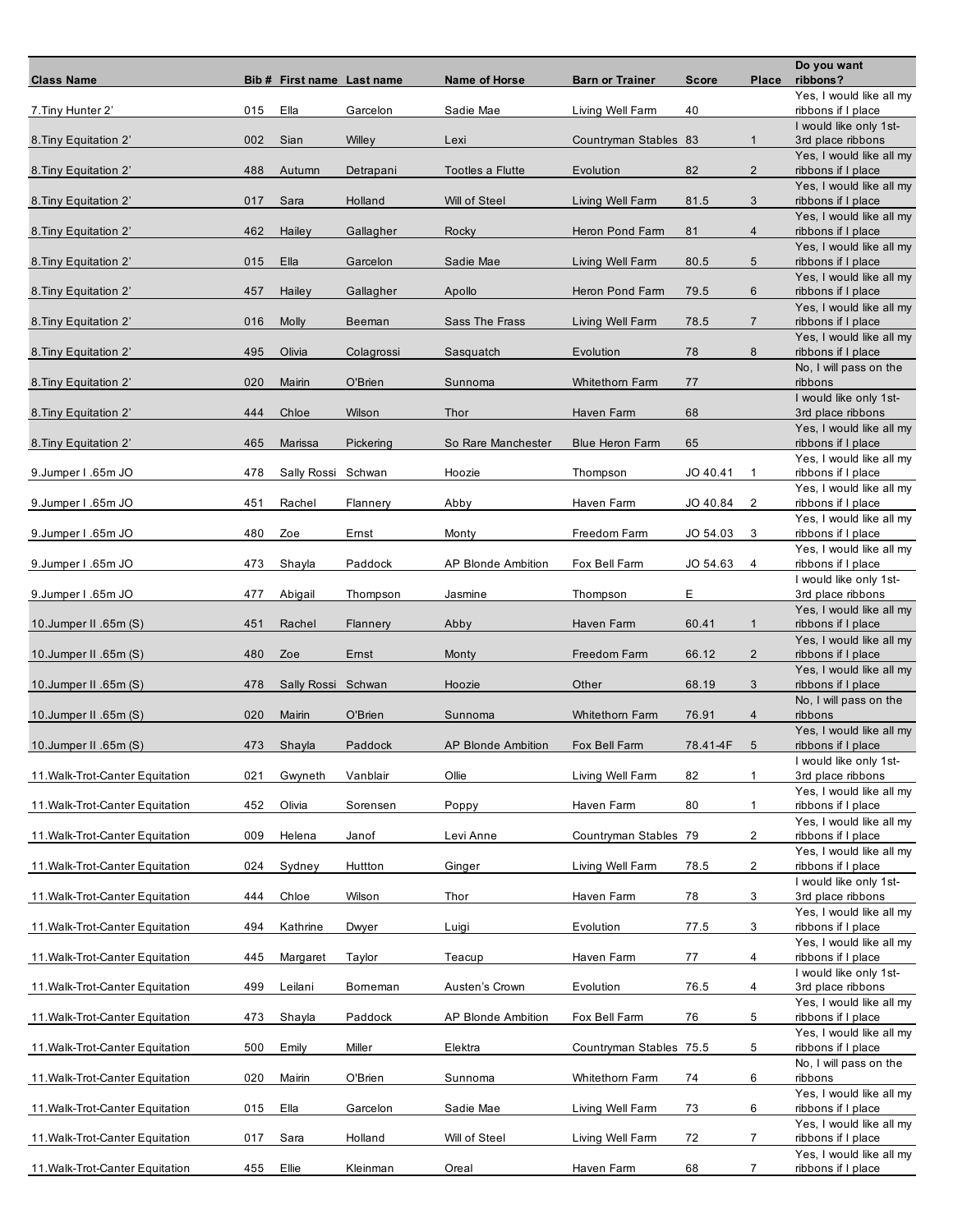| <b>Class Name</b>               |     | Bib # First name Last name |            | <b>Name of Horse</b>      | <b>Barn or Trainer</b>  | <b>Score</b> | Place          | Do you want<br>ribbons?                        |
|---------------------------------|-----|----------------------------|------------|---------------------------|-------------------------|--------------|----------------|------------------------------------------------|
| 7. Tiny Hunter 2'               | 015 | Ella                       | Garcelon   | Sadie Mae                 | Living Well Farm        | 40           |                | Yes, I would like all my<br>ribbons if I place |
| 8. Tiny Equitation 2'           | 002 | Sian                       | Willey     | Lexi                      | Countryman Stables 83   |              | $\mathbf{1}$   | I would like only 1st-<br>3rd place ribbons    |
| 8. Tiny Equitation 2'           | 488 | Autumn                     | Detrapani  | Tootles a Flutte          | Evolution               | 82           | $\overline{2}$ | Yes, I would like all my<br>ribbons if I place |
| 8. Tiny Equitation 2'           | 017 | Sara                       | Holland    | Will of Steel             | Living Well Farm        | 81.5         | 3              | Yes, I would like all my<br>ribbons if I place |
|                                 |     |                            |            |                           |                         |              | $\overline{4}$ | Yes, I would like all my                       |
| 8. Tiny Equitation 2'           | 462 | Hailey                     | Gallagher  | Rocky                     | Heron Pond Farm         | 81           |                | ribbons if I place<br>Yes, I would like all my |
| 8. Tiny Equitation 2'           | 015 | Ella                       | Garcelon   | Sadie Mae                 | Living Well Farm        | 80.5         | 5              | ribbons if I place<br>Yes, I would like all my |
| 8. Tiny Equitation 2'           | 457 | Hailey                     | Gallagher  | Apollo                    | Heron Pond Farm         | 79.5         | 6              | ribbons if I place<br>Yes, I would like all my |
| 8. Tiny Equitation 2'           | 016 | <b>Molly</b>               | Beeman     | Sass The Frass            | Living Well Farm        | 78.5         | $\overline{7}$ | ribbons if I place<br>Yes, I would like all my |
| 8. Tiny Equitation 2'           | 495 | Olivia                     | Colagrossi | Sasquatch                 | Evolution               | 78           | 8              | ribbons if I place<br>No, I will pass on the   |
| 8. Tiny Equitation 2'           | 020 | Mairin                     | O'Brien    | Sunnoma                   | <b>Whitethom Farm</b>   | 77           |                | ribbons<br>I would like only 1st-              |
| 8. Tiny Equitation 2'           | 444 | Chloe                      | Wilson     | Thor                      | Haven Farm              | 68           |                | 3rd place ribbons                              |
| 8. Tiny Equitation 2'           | 465 | Marissa                    | Pickering  | So Rare Manchester        | <b>Blue Heron Farm</b>  | 65           |                | Yes, I would like all my<br>ribbons if I place |
| 9.Jumper I .65m JO              | 478 | Sally Rossi                | Schwan     | Hoozie                    | Thompson                | JO 40.41     | $\mathbf{1}$   | Yes, I would like all my<br>ribbons if I place |
| 9.Jumper I .65m JO              | 451 | Rachel                     | Flannery   | Abby                      | Haven Farm              | JO 40.84     | 2              | Yes, I would like all my<br>ribbons if I place |
| 9. Jumper I .65m JO             | 480 | Zoe                        | Ernst      | Monty                     | Freedom Farm            | JO 54.03     | 3              | Yes, I would like all my<br>ribbons if I place |
| 9.Jumper I .65m JO              | 473 | Shayla                     | Paddock    | <b>AP Blonde Ambition</b> | Fox Bell Farm           | JO 54.63     | 4              | Yes, I would like all my<br>ribbons if I place |
|                                 | 477 |                            |            |                           |                         | Е            |                | I would like only 1st-                         |
| 9. Jumper I .65m JO             |     | Abigail                    | Thompson   | Jasmine                   | Thompson                |              |                | 3rd place ribbons<br>Yes, I would like all my  |
| 10.Jumper II .65m (S)           | 451 | Rachel                     | Flannery   | Abby                      | Haven Farm              | 60.41        | $\mathbf{1}$   | ribbons if I place<br>Yes, I would like all my |
| 10.Jumper II .65m (S)           | 480 | Zoe                        | Emst       | Monty                     | Freedom Farm            | 66.12        | $\overline{2}$ | ribbons if I place<br>Yes, I would like all my |
| 10. Jumper II .65m (S)          | 478 | Sally Rossi Schwan         |            | Hoozie                    | Other                   | 68.19        | 3              | ribbons if I place<br>No, I will pass on the   |
| 10. Jumper II .65m (S)          | 020 | Mairin                     | O'Brien    | Sunnoma                   | <b>Whitethorn Farm</b>  | 76.91        | 4              | ribbons<br>Yes, I would like all my            |
| 10.Jumper II .65m (S)           | 473 | Shayla                     | Paddock    | <b>AP Blonde Ambition</b> | Fox Bell Farm           | 78.41-4F     | 5              | ribbons if I place                             |
| 11. Walk-Trot-Canter Equitation | 021 | Gwyneth                    | Vanblair   | Ollie                     | Living Well Farm        | 82           | $\mathbf{1}$   | I would like only 1st-<br>3rd place ribbons    |
| 11. Walk-Trot-Canter Equitation | 452 | Olivia                     | Sorensen   | Poppy                     | Haven Farm              | 80           | $\mathbf{1}$   | Yes, I would like all my<br>ribbons if I place |
| 11. Walk-Trot-Canter Equitation | 009 | Helena                     | Janof      | Levi Anne                 | Countryman Stables 79   |              | $\overline{2}$ | Yes, I would like all my<br>ribbons if I place |
| 11. Walk-Trot-Canter Equitation | 024 | Sydney                     | Huttton    | Ginger                    | Living Well Farm        | 78.5         | $\overline{2}$ | Yes, I would like all my<br>ribbons if I place |
| 11. Walk-Trot-Canter Equitation | 444 | Chloe                      | Wilson     | Thor                      | Haven Farm              | 78           | 3              | I would like only 1st-<br>3rd place ribbons    |
| 11. Walk-Trot-Canter Equitation | 494 | Kathrine                   | Dwyer      | Luigi                     | Evolution               | 77.5         | 3              | Yes, I would like all my<br>ribbons if I place |
|                                 |     |                            |            |                           |                         |              |                | Yes, I would like all my                       |
| 11. Walk-Trot-Canter Equitation | 445 | Margaret                   | Taylor     | Teacup                    | Haven Farm              | 77           | 4              | ribbons if I place<br>I would like only 1st-   |
| 11. Walk-Trot-Canter Equitation | 499 | Leilani                    | Borneman   | Austen's Crown            | Evolution               | 76.5         | 4              | 3rd place ribbons<br>Yes, I would like all my  |
| 11. Walk-Trot-Canter Equitation | 473 | Shayla                     | Paddock    | <b>AP Blonde Ambition</b> | Fox Bell Farm           | 76           | 5              | ribbons if I place<br>Yes, I would like all my |
| 11. Walk-Trot-Canter Equitation | 500 | Emily                      | Miller     | Elektra                   | Countryman Stables 75.5 |              | 5              | ribbons if I place<br>No, I will pass on the   |
| 11. Walk-Trot-Canter Equitation | 020 | Mairin                     | O'Brien    | Sunnoma                   | Whitethorn Farm         | 74           | 6              | ribbons                                        |
| 11. Walk-Trot-Canter Equitation | 015 | Ella                       | Garcelon   | Sadie Mae                 | Living Well Farm        | 73           | 6              | Yes, I would like all my<br>ribbons if I place |
| 11. Walk-Trot-Canter Equitation | 017 | Sara                       | Holland    | Will of Steel             | Living Well Farm        | 72           | $\overline{7}$ | Yes, I would like all my<br>ribbons if I place |
| 11. Walk-Trot-Canter Equitation | 455 | Ellie                      | Kleinman   | Oreal                     | Haven Farm              | 68           | $\overline{7}$ | Yes, I would like all my<br>ribbons if I place |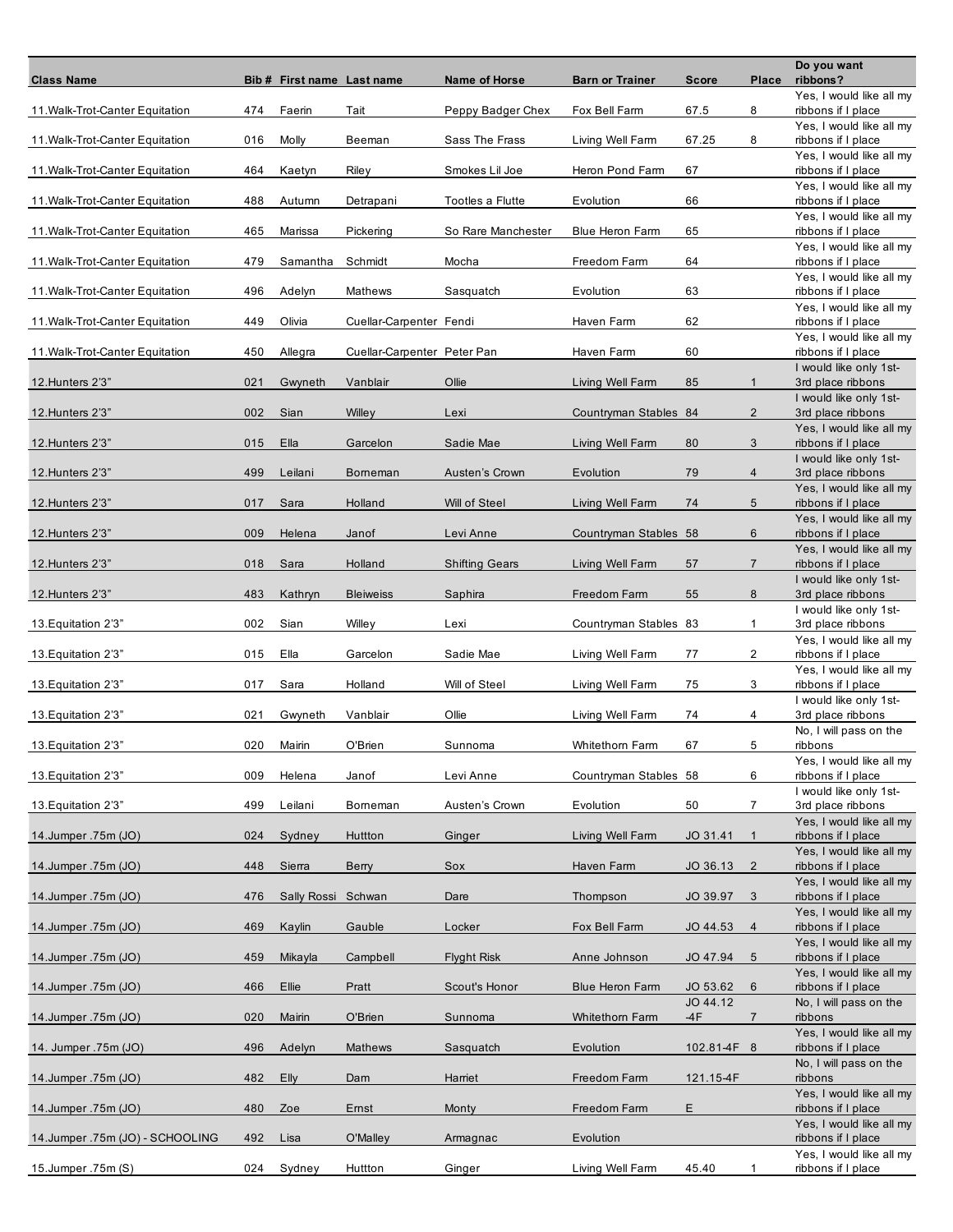| <b>Class Name</b>               |     | Bib # First name Last name |                             | <b>Name of Horse</b>  | <b>Barn or Trainer</b> | <b>Score</b>         | Place          | Do you want<br>ribbons?                        |
|---------------------------------|-----|----------------------------|-----------------------------|-----------------------|------------------------|----------------------|----------------|------------------------------------------------|
| 11. Walk-Trot-Canter Equitation | 474 | Faerin                     | Tait                        | Peppy Badger Chex     | Fox Bell Farm          | 67.5                 | 8              | Yes, I would like all my<br>ribbons if I place |
| 11. Walk-Trot-Canter Equitation | 016 | Molly                      | Beeman                      | Sass The Frass        | Living Well Farm       | 67.25                | 8              | Yes, I would like all my<br>ribbons if I place |
| 11. Walk-Trot-Canter Equitation | 464 | Kaetyn                     | Riley                       | Smokes Lil Joe        | Heron Pond Farm        | 67                   |                | Yes, I would like all my<br>ribbons if I place |
| 11. Walk-Trot-Canter Equitation | 488 | Autumn                     | Detrapani                   | Tootles a Flutte      | Evolution              | 66                   |                | Yes, I would like all my<br>ribbons if I place |
| 11. Walk-Trot-Canter Equitation | 465 | Marissa                    | Pickering                   | So Rare Manchester    | Blue Heron Farm        | 65                   |                | Yes, I would like all my<br>ribbons if I place |
| 11. Walk-Trot-Canter Equitation | 479 | Samantha                   | Schmidt                     | Mocha                 | Freedom Farm           | 64                   |                | Yes, I would like all my<br>ribbons if I place |
| 11. Walk-Trot-Canter Equitation | 496 | Adelyn                     | Mathews                     | Sasquatch             | Evolution              | 63                   |                | Yes, I would like all my<br>ribbons if I place |
| 11. Walk-Trot-Canter Equitation | 449 | Olivia                     | Cuellar-Carpenter Fendi     |                       | Haven Farm             | 62                   |                | Yes, I would like all my<br>ribbons if I place |
| 11. Walk-Trot-Canter Equitation | 450 | Allegra                    | Cuellar-Carpenter Peter Pan |                       | Haven Farm             | 60                   |                | Yes, I would like all my<br>ribbons if I place |
| 12. Hunters 2'3"                | 021 | Gwyneth                    | Vanblair                    | Ollie                 | Living Well Farm       | 85                   | $\mathbf{1}$   | I would like only 1st-<br>3rd place ribbons    |
| 12. Hunters 2'3"                | 002 | Sian                       | Willey                      | Lexi                  | Countryman Stables 84  |                      | $\overline{2}$ | I would like only 1st-<br>3rd place ribbons    |
| 12. Hunters 2'3"                | 015 | Ella                       | Garcelon                    | Sadie Mae             | Living Well Farm       | 80                   | 3              | Yes, I would like all my<br>ribbons if I place |
| 12. Hunters 2'3"                | 499 | Leilani                    | Borneman                    | Austen's Crown        | Evolution              | 79                   | $\overline{4}$ | I would like only 1st-<br>3rd place ribbons    |
| 12. Hunters 2'3"                | 017 | Sara                       | Holland                     | Will of Steel         | Living Well Farm       | 74                   | 5              | Yes, I would like all my<br>ribbons if I place |
| 12. Hunters 2'3"                | 009 | Helena                     | Janof                       | Levi Anne             | Countryman Stables 58  |                      | 6              | Yes, I would like all my<br>ribbons if I place |
| 12. Hunters 2'3"                | 018 | Sara                       | Holland                     | <b>Shifting Gears</b> | Living Well Farm       | 57                   | $\overline{7}$ | Yes, I would like all my<br>ribbons if I place |
| 12. Hunters 2'3"                | 483 | Kathryn                    | <b>Bleiweiss</b>            | Saphira               | Freedom Farm           | 55                   | 8              | I would like only 1st-<br>3rd place ribbons    |
| 13. Equitation 2'3"             | 002 | Sian                       | Willey                      | Lexi                  | Countryman Stables 83  |                      | 1              | I would like only 1st-<br>3rd place ribbons    |
| 13. Equitation 2'3"             | 015 | Ella                       | Garcelon                    | Sadie Mae             | Living Well Farm       | 77                   | 2              | Yes, I would like all my<br>ribbons if I place |
| 13. Equitation 2'3"             | 017 | Sara                       | Holland                     | Will of Steel         | Living Well Farm       | 75                   | 3              | Yes, I would like all my<br>ribbons if I place |
| 13. Equitation 2'3"             | 021 | Gwyneth                    | Vanblair                    | Ollie                 | Living Well Farm       | 74                   | 4              | I would like only 1st-<br>3rd place ribbons    |
| 13. Equitation 2'3"             | 020 | Mairin                     | O'Brien                     | Sunnoma               | Whitethorn Farm        | 67                   | 5              | No, I will pass on the<br>ribbons              |
|                                 |     |                            |                             |                       |                        |                      |                | Yes, I would like all my                       |
| 13. Equitation 2'3"             | 009 | Helena                     | Janof                       | Levi Anne             | Countryman Stables 58  |                      | 6              | ribbons if I place<br>I would like only 1st-   |
| 13. Equitation 2'3"             | 499 | Leilani                    | Borneman                    | Austen's Crown        | Evolution              | 50                   | 7              | 3rd place ribbons<br>Yes, I would like all my  |
| 14.Jumper.75m (JO)              | 024 | Sydney                     | Huttton                     | Ginger                | Living Well Farm       | JO 31.41             | $\mathbf{1}$   | ribbons if I place<br>Yes, I would like all my |
| 14.Jumper.75m (JO)              | 448 | Sierra                     | Berry                       | Sox                   | Haven Farm             | JO 36.13             | $\overline{2}$ | ribbons if I place<br>Yes, I would like all my |
| 14.Jumper.75m (JO)              | 476 | Sally Rossi Schwan         |                             | Dare                  | Thompson               | JO 39.97             | 3              | ribbons if I place<br>Yes, I would like all my |
| 14.Jumper.75m (JO)              | 469 | Kaylin                     | Gauble                      | Locker                | Fox Bell Farm          | JO 44.53             | $\overline{4}$ | ribbons if I place<br>Yes, I would like all my |
| 14.Jumper.75m (JO)              | 459 | Mikayla                    | Campbell                    | <b>Flyght Risk</b>    | Anne Johnson           | JO 47.94             | 5              | ribbons if I place<br>Yes, I would like all my |
| 14.Jumper.75m (JO)              | 466 | Ellie                      | Pratt                       | Scout's Honor         | <b>Blue Heron Farm</b> | JO 53.62<br>JO 44.12 | 6              | ribbons if I place                             |
| 14.Jumper.75m (JO)              | 020 | Mairin                     | O'Brien                     | Sunnoma               | <b>Whitethom Farm</b>  | -4F                  | $\overline{7}$ | No, I will pass on the<br>ribbons              |
| 14. Jumper .75m (JO)            | 496 | Adelyn                     | Mathews                     | Sasquatch             | Evolution              | 102.81-4F 8          |                | Yes, I would like all my<br>ribbons if I place |
| 14.Jumper.75m (JO)              | 482 | Elly                       | Dam                         | Harriet               | Freedom Farm           | 121.15-4F            |                | No, I will pass on the<br>ribbons              |
| 14.Jumper.75m (JO)              | 480 | Zoe                        | Emst                        | Monty                 | Freedom Farm           | E                    |                | Yes, I would like all my<br>ribbons if I place |
| 14.Jumper.75m (JO) - SCHOOLING  | 492 | Lisa                       | O'Malley                    | Armagnac              | Evolution              |                      |                | Yes, I would like all my<br>ribbons if I place |
| 15.Jumper.75m (S)               | 024 | Sydney                     | Huttton                     | Ginger                | Living Well Farm       | 45.40                | 1              | Yes, I would like all my<br>ribbons if I place |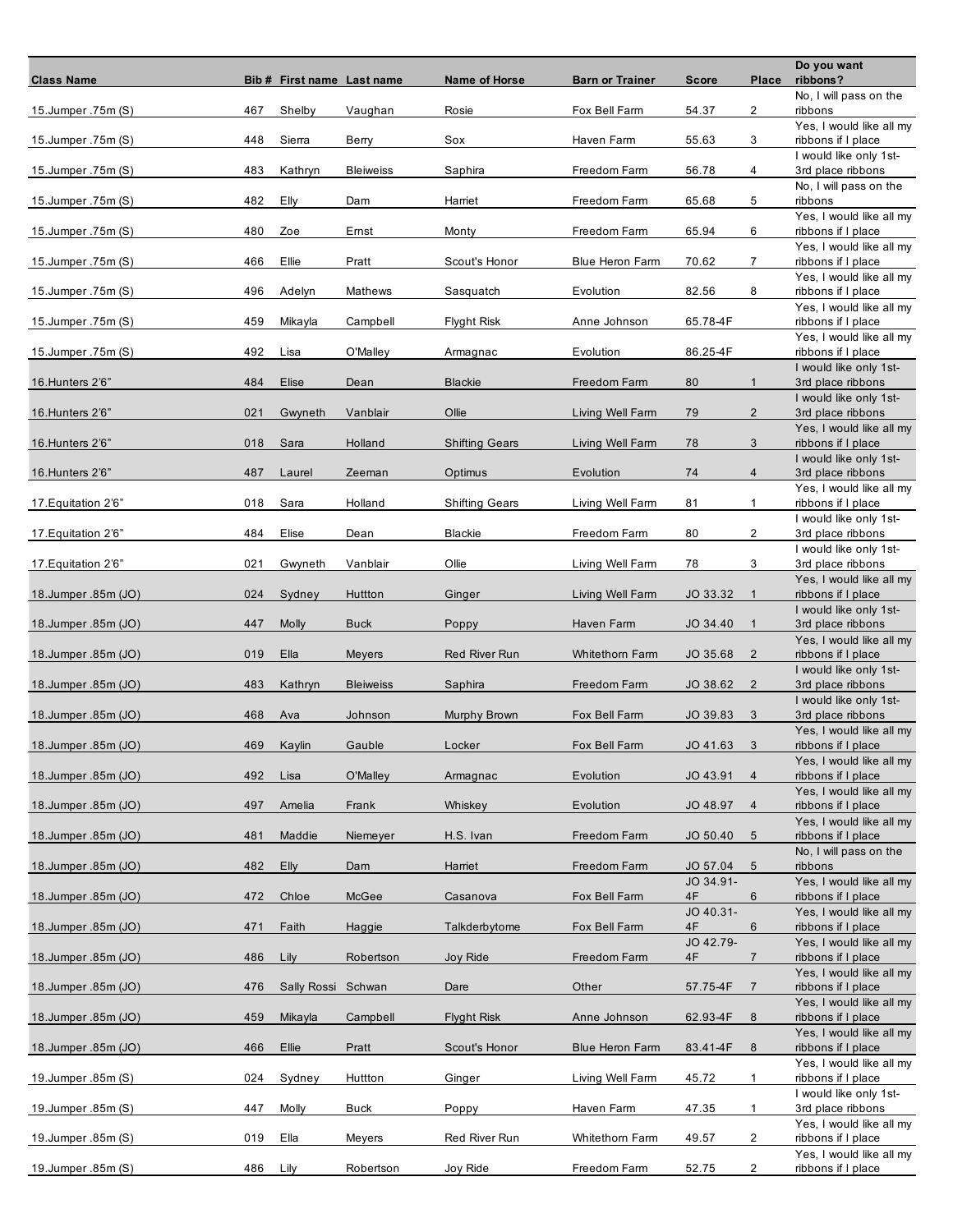| <b>Class Name</b>   |     | Bib # First name Last name |                  | Name of Horse         | <b>Barn or Trainer</b> | <b>Score</b>    | Place          | Do you want<br>ribbons?                        |
|---------------------|-----|----------------------------|------------------|-----------------------|------------------------|-----------------|----------------|------------------------------------------------|
| 15.Jumper.75m (S)   | 467 | Shelby                     | Vaughan          | Rosie                 | Fox Bell Farm          | 54.37           | 2              | No, I will pass on the<br>ribbons              |
| 15.Jumper.75m (S)   | 448 | Sierra                     | Berry            | Sox                   | Haven Farm             | 55.63           | 3              | Yes, I would like all my                       |
|                     |     |                            |                  |                       |                        |                 |                | ribbons if I place<br>I would like only 1st-   |
| 15.Jumper.75m (S)   | 483 | Kathryn                    | <b>Bleiweiss</b> | Saphira               | Freedom Farm           | 56.78           | 4              | 3rd place ribbons<br>No, I will pass on the    |
| 15.Jumper.75m (S)   | 482 | Elly                       | Dam              | Harriet               | Freedom Farm           | 65.68           | 5              | ribbons<br>Yes, I would like all my            |
| 15.Jumper .75m (S)  | 480 | Zoe                        | Ernst            | Monty                 | Freedom Farm           | 65.94           | 6              | ribbons if I place                             |
| 15.Jumper.75m (S)   | 466 | Ellie                      | Pratt            | Scout's Honor         | <b>Blue Heron Farm</b> | 70.62           | $\overline{7}$ | Yes, I would like all my<br>ribbons if I place |
| 15.Jumper.75m (S)   | 496 | Adelyn                     | Mathews          | Sasquatch             | Evolution              | 82.56           | 8              | Yes, I would like all my<br>ribbons if I place |
| 15.Jumper.75m (S)   | 459 | Mikayla                    | Campbell         | <b>Flyght Risk</b>    | Anne Johnson           | 65.78-4F        |                | Yes, I would like all my<br>ribbons if I place |
| 15.Jumper.75m (S)   | 492 | Lisa                       | O'Malley         | Armagnac              | Evolution              | 86.25-4F        |                | Yes, I would like all my<br>ribbons if I place |
| 16. Hunters 2'6"    | 484 | Elise                      | Dean             | <b>Blackie</b>        | Freedom Farm           | 80              | $\mathbf{1}$   | I would like only 1st-<br>3rd place ribbons    |
| 16. Hunters 2'6"    | 021 | Gwyneth                    | Vanblair         | Ollie                 | Living Well Farm       | 79              | $\overline{2}$ | I would like only 1st-<br>3rd place ribbons    |
|                     |     |                            |                  |                       |                        |                 |                | Yes, I would like all my                       |
| 16. Hunters 2'6"    | 018 | Sara                       | Holland          | <b>Shifting Gears</b> | Living Well Farm       | 78              | 3              | ribbons if I place<br>I would like only 1st-   |
| 16. Hunters 2'6"    | 487 | Laurel                     | Zeeman           | Optimus               | Evolution              | 74              | $\overline{4}$ | 3rd place ribbons<br>Yes, I would like all my  |
| 17. Equitation 2'6" | 018 | Sara                       | Holland          | <b>Shifting Gears</b> | Living Well Farm       | 81              | $\mathbf{1}$   | ribbons if I place                             |
| 17. Equitation 2'6" | 484 | Elise                      | Dean             | <b>Blackie</b>        | Freedom Farm           | 80              | $\overline{2}$ | I would like only 1st-<br>3rd place ribbons    |
| 17. Equitation 2'6" | 021 | Gwyneth                    | Vanblair         | Ollie                 | Living Well Farm       | 78              | 3              | I would like only 1st-<br>3rd place ribbons    |
|                     |     |                            |                  |                       |                        |                 |                | Yes, I would like all my                       |
| 18.Jumper.85m (JO)  | 024 | Sydney                     | Huttton          | Ginger                | Living Well Farm       | JO 33.32        | $\mathbf{1}$   | ribbons if I place<br>I would like only 1st-   |
| 18.Jumper.85m (JO)  | 447 | <b>Molly</b>               | <b>Buck</b>      | Poppy                 | Haven Farm             | JO 34.40        | $\mathbf{1}$   | 3rd place ribbons<br>Yes, I would like all my  |
| 18.Jumper.85m (JO)  | 019 | Ella                       | Meyers           | <b>Red River Run</b>  | <b>Whitethom Farm</b>  | JO 35.68        | $\overline{2}$ | ribbons if I place                             |
| 18.Jumper.85m (JO)  | 483 | Kathryn                    | <b>Bleiweiss</b> | Saphira               | Freedom Farm           | JO 38.62        | $\overline{2}$ | I would like only 1st-<br>3rd place ribbons    |
| 18.Jumper.85m (JO)  | 468 | Ava                        | Johnson          | Murphy Brown          | Fox Bell Farm          | JO 39.83        | 3              | I would like only 1st-<br>3rd place ribbons    |
| 18.Jumper.85m (JO)  | 469 | Kaylin                     | Gauble           | Locker                | Fox Bell Farm          | JO 41.63        | 3              | Yes, I would like all my<br>ribbons if I place |
| 18.Jumper.85m (JO)  | 492 | Lisa                       | O'Malley         | Armagnac              | Evolution              | JO 43.91        | $\overline{4}$ | Yes, I would like all my<br>ribbons if I place |
|                     |     |                            |                  |                       |                        |                 |                | Yes, I would like all my                       |
| 18.Jumper.85m (JO)  | 497 | Amelia                     | Frank            | Whiskey               | Evolution              | JO 48.97        | $\overline{4}$ | ribbons if I place<br>Yes, I would like all my |
| 18.Jumper.85m (JO)  | 481 | Maddie                     | Niemeyer         | H.S. Ivan             | Freedom Farm           | JO 50.40        | 5              | ribbons if I place<br>No, I will pass on the   |
| 18.Jumper.85m (JO)  | 482 | <b>Elly</b>                | Dam              | Harriet               | Freedom Farm           | JO 57.04        | 5              | ribbons                                        |
| 18.Jumper.85m (JO)  | 472 | Chloe                      | McGee            | Casanova              | Fox Bell Farm          | JO 34.91-<br>4F | 6              | Yes, I would like all my<br>ribbons if I place |
| 18.Jumper.85m (JO)  | 471 | Faith                      | Haggie           | Talkderbytome         | Fox Bell Farm          | JO 40.31-<br>4F | 6              | Yes, I would like all my<br>ribbons if I place |
|                     |     |                            |                  |                       |                        | JO 42.79-       |                | Yes, I would like all my                       |
| 18.Jumper.85m (JO)  | 486 | Lily                       | Robertson        | Joy Ride              | Freedom Farm           | 4F              | $\overline{7}$ | ribbons if I place<br>Yes, I would like all my |
| 18.Jumper.85m (JO)  | 476 | Sally Rossi Schwan         |                  | Dare                  | Other                  | 57.75-4F        | $\overline{7}$ | ribbons if I place<br>Yes, I would like all my |
| 18.Jumper.85m (JO)  | 459 | Mikayla                    | Campbell         | <b>Flyght Risk</b>    | Anne Johnson           | 62.93-4F        | 8              | ribbons if I place                             |
| 18.Jumper.85m (JO)  | 466 | Ellie                      | Pratt            | Scout's Honor         | <b>Blue Heron Farm</b> | 83.41-4F        | 8              | Yes, I would like all my<br>ribbons if I place |
| 19.Jumper.85m (S)   | 024 | Sydney                     | Huttton          | Ginger                | Living Well Farm       | 45.72           | $\mathbf{1}$   | Yes, I would like all my<br>ribbons if I place |
| 19.Jumper.85m (S)   | 447 | Molly                      | <b>Buck</b>      | Poppy                 | Haven Farm             | 47.35           | $\mathbf{1}$   | I would like only 1st-<br>3rd place ribbons    |
|                     |     |                            |                  |                       |                        |                 |                | Yes, I would like all my                       |
| 19.Jumper.85m (S)   | 019 | Ella                       | Meyers           | Red River Run         | Whitethorn Farm        | 49.57           | 2              | ribbons if I place<br>Yes, I would like all my |
| 19.Jumper.85m (S)   | 486 | Lily                       | Robertson        | Joy Ride              | Freedom Farm           | 52.75           | $\overline{2}$ | ribbons if I place                             |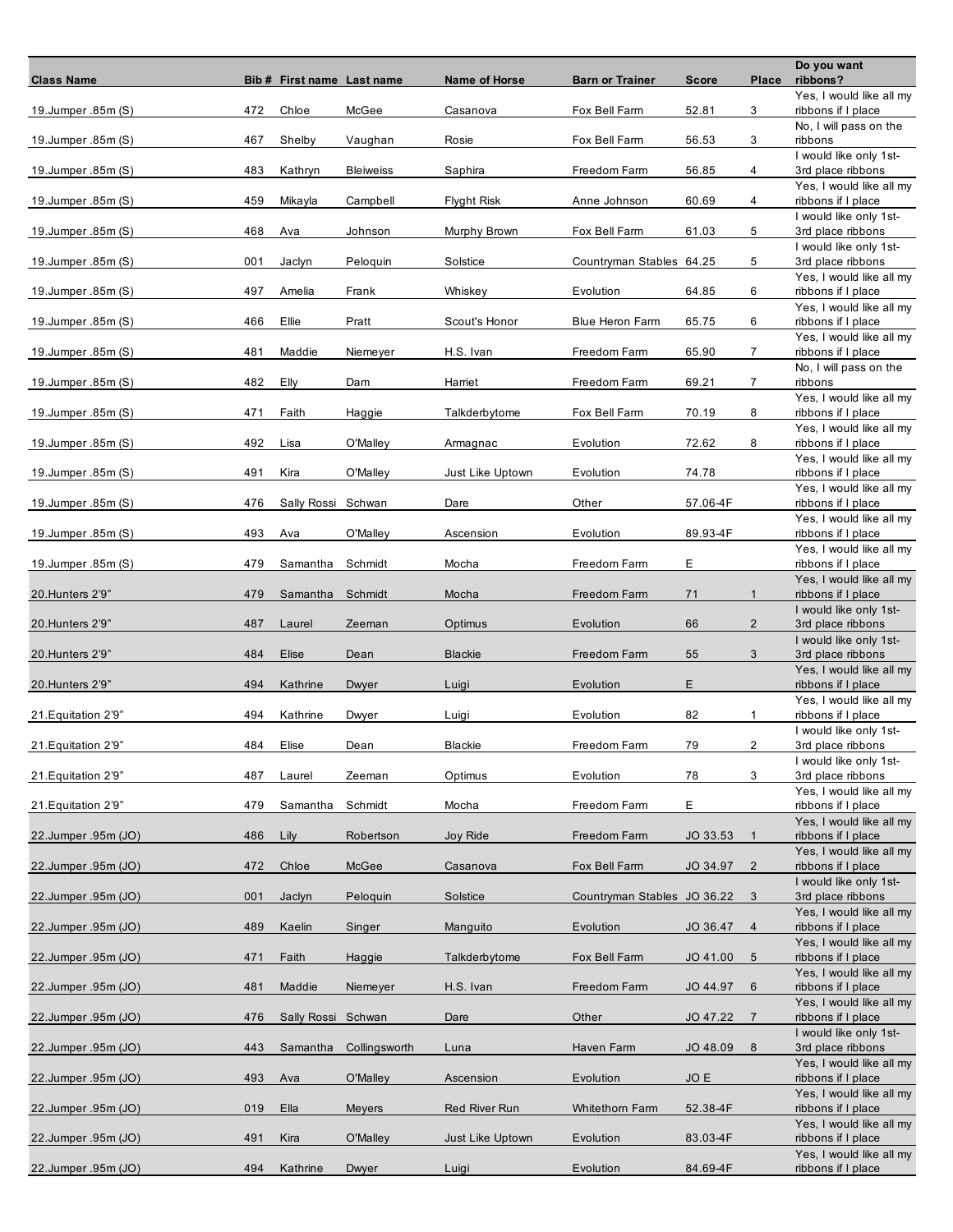| <b>Class Name</b>   |     | Bib # First name Last name |                  | Name of Horse        | <b>Barn or Trainer</b>      | <b>Score</b> | Place          | Do you want<br>ribbons?                        |
|---------------------|-----|----------------------------|------------------|----------------------|-----------------------------|--------------|----------------|------------------------------------------------|
| 19.Jumper.85m (S)   | 472 | Chloe                      | McGee            | Casanova             | Fox Bell Farm               | 52.81        | 3              | Yes, I would like all my<br>ribbons if I place |
| 19.Jumper.85m (S)   | 467 | Shelby                     | Vaughan          | Rosie                | Fox Bell Farm               | 56.53        | 3              | No, I will pass on the<br>ribbons              |
|                     | 483 | Kathryn                    |                  |                      |                             |              | 4              | I would like only 1st-<br>3rd place ribbons    |
| 19.Jumper.85m (S)   |     |                            | <b>Bleiweiss</b> | Saphira              | Freedom Farm                | 56.85        |                | Yes, I would like all my                       |
| 19.Jumper.85m (S)   | 459 | Mikayla                    | Campbell         | <b>Flyght Risk</b>   | Anne Johnson                | 60.69        | 4              | ribbons if I place<br>I would like only 1st-   |
| 19.Jumper.85m (S)   | 468 | Ava                        | Johnson          | Murphy Brown         | Fox Bell Farm               | 61.03        | 5              | 3rd place ribbons<br>I would like only 1st-    |
| 19.Jumper.85m (S)   | 001 | Jaclyn                     | Peloquin         | Solstice             | Countryman Stables 64.25    |              | 5              | 3rd place ribbons<br>Yes, I would like all my  |
| 19.Jumper.85m (S)   | 497 | Amelia                     | Frank            | Whiskey              | Evolution                   | 64.85        | 6              | ribbons if I place                             |
| 19.Jumper.85m (S)   | 466 | Ellie                      | Pratt            | Scout's Honor        | <b>Blue Heron Farm</b>      | 65.75        | 6              | Yes, I would like all my<br>ribbons if I place |
| 19.Jumper.85m (S)   | 481 | Maddie                     | Niemeyer         | H.S. Ivan            | Freedom Farm                | 65.90        | $\mathbf{7}$   | Yes, I would like all my<br>ribbons if I place |
| 19.Jumper.85m (S)   | 482 | Elly                       | Dam              | Harriet              | Freedom Farm                | 69.21        | 7              | No, I will pass on the<br>ribbons              |
| 19.Jumper.85m (S)   | 471 | Faith                      | Haggie           | Talkderbytome        | Fox Bell Farm               | 70.19        | 8              | Yes, I would like all my<br>ribbons if I place |
| 19.Jumper.85m (S)   | 492 | Lisa                       | O'Malley         | Armagnac             | Evolution                   | 72.62        | 8              | Yes, I would like all my<br>ribbons if I place |
|                     |     |                            |                  |                      |                             |              |                | Yes, I would like all my                       |
| 19.Jumper.85m (S)   | 491 | Kira                       | O'Malley         | Just Like Uptown     | Evolution                   | 74.78        |                | ribbons if I place<br>Yes, I would like all my |
| 19.Jumper.85m (S)   | 476 | Sally Rossi Schwan         |                  | Dare                 | Other                       | 57.06-4F     |                | ribbons if I place<br>Yes, I would like all my |
| 19.Jumper.85m (S)   | 493 | Ava                        | O'Malley         | Ascension            | Evolution                   | 89.93-4F     |                | ribbons if I place<br>Yes, I would like all my |
| 19.Jumper.85m (S)   | 479 | Samantha                   | Schmidt          | Mocha                | Freedom Farm                | Е            |                | ribbons if I place<br>Yes, I would like all my |
| 20. Hunters 2'9"    | 479 | Samantha                   | Schmidt          | Mocha                | Freedom Farm                | 71           | $\mathbf{1}$   | ribbons if I place                             |
| 20. Hunters 2'9"    | 487 | Laurel                     | Zeeman           | Optimus              | Evolution                   | 66           | $\overline{2}$ | I would like only 1st-<br>3rd place ribbons    |
| 20. Hunters 2'9"    | 484 | Elise                      | Dean             | <b>Blackie</b>       | Freedom Farm                | 55           | 3              | I would like only 1st-<br>3rd place ribbons    |
| 20.Hunters 2'9"     | 494 | Kathrine                   | Dwyer            | Luigi                | Evolution                   | E            |                | Yes, I would like all my<br>ribbons if I place |
| 21. Equitation 2'9" | 494 | Kathrine                   | Dwyer            | Luigi                | Evolution                   | 82           | $\mathbf{1}$   | Yes, I would like all my<br>ribbons if I place |
| 21. Equitation 2'9" | 484 | Elise                      | Dean             | <b>Blackie</b>       | Freedom Farm                | 79           | 2              | I would like only 1st-<br>3rd place ribbons    |
| 21. Equitation 2'9" | 487 | Laurel                     | Zeeman           | Optimus              | Evolution                   | 78           | 3              | I would like only 1st-<br>3rd place ribbons    |
|                     |     |                            |                  |                      |                             |              |                | Yes, I would like all my                       |
| 21. Equitation 2'9" | 479 | Samantha                   | Schmidt          | Mocha                | Freedom Farm                | E            |                | ribbons if I place<br>Yes, I would like all my |
| 22.Jumper.95m (JO)  | 486 | Lily                       | Robertson        | Joy Ride             | Freedom Farm                | JO 33.53     | $\mathbf{1}$   | ribbons if I place<br>Yes, I would like all my |
| 22.Jumper.95m (JO)  | 472 | Chloe                      | McGee            | Casanova             | Fox Bell Farm               | JO 34.97     | $\overline{2}$ | ribbons if I place<br>I would like only 1st-   |
| 22.Jumper.95m (JO)  | 001 | Jaclyn                     | Peloquin         | Solstice             | Countryman Stables JO 36.22 |              | 3              | 3rd place ribbons                              |
| 22.Jumper .95m (JO) | 489 | Kaelin                     | Singer           | Manguito             | Evolution                   | JO 36.47     | $\overline{4}$ | Yes, I would like all my<br>ribbons if I place |
| 22.Jumper.95m (JO)  | 471 | Faith                      | Haggie           | Talkderbytome        | Fox Bell Farm               | JO 41.00     | 5              | Yes, I would like all my<br>ribbons if I place |
| 22.Jumper.95m (JO)  | 481 | Maddie                     | Niemeyer         | H.S. Ivan            | Freedom Farm                | JO 44.97     | 6              | Yes, I would like all my<br>ribbons if I place |
| 22.Jumper.95m (JO)  | 476 | Sally Rossi Schwan         |                  | Dare                 | Other                       | JO 47.22     | $\overline{7}$ | Yes, I would like all my<br>ribbons if I place |
| 22.Jumper .95m (JO) | 443 | Samantha                   | Collingsworth    | Luna                 | Haven Farm                  | JO 48.09     | 8              | I would like only 1st-<br>3rd place ribbons    |
|                     |     |                            |                  |                      |                             |              |                | Yes, I would like all my                       |
| 22.Jumper.95m (JO)  | 493 | Ava                        | O'Malley         | Ascension            | Evolution                   | JO E         |                | ribbons if I place<br>Yes, I would like all my |
| 22.Jumper.95m (JO)  | 019 | Ella                       | Meyers           | <b>Red River Run</b> | <b>Whitethorn Farm</b>      | 52.38-4F     |                | ribbons if I place<br>Yes, I would like all my |
| 22.Jumper.95m (JO)  | 491 | Kira                       | O'Malley         | Just Like Uptown     | Evolution                   | 83.03-4F     |                | ribbons if I place<br>Yes, I would like all my |
| 22.Jumper.95m (JO)  | 494 | Kathrine                   | Dwyer            | Luigi                | Evolution                   | 84.69-4F     |                | ribbons if I place                             |